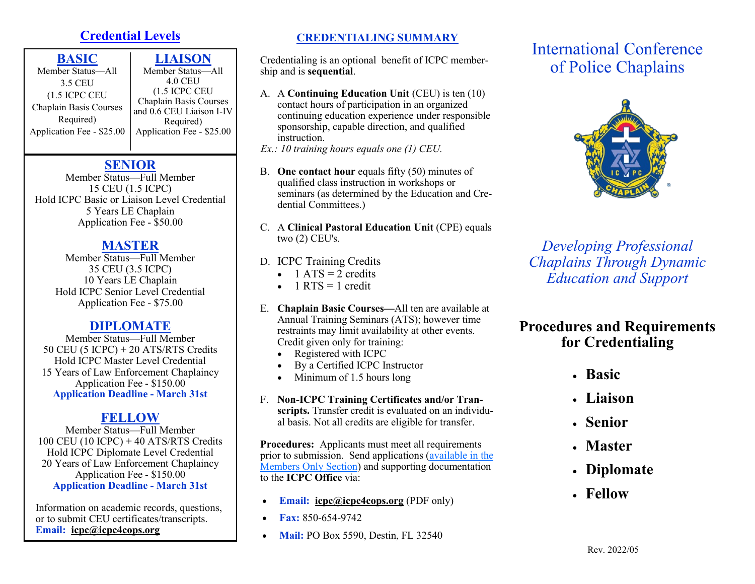# **Credential Levels**

| <b>LIAISON</b>                                     |
|----------------------------------------------------|
| Member Status-All                                  |
| <b>4.0 CEU</b>                                     |
| $(1.5$ ICPC CEU                                    |
| Chaplain Basis Courses<br>and 0.6 CEU Liaison I-IV |
| Required)                                          |
| Application Fee - \$25.00                          |
|                                                    |

## **SENIOR**

Member Status—Full Member 15 CEU (1.5 ICPC) Hold ICPC Basic or Liaison Level Credential 5 Years LE Chaplain Application Fee - \$50.00

## **MASTER**

Member Status—Full Member 35 CEU (3.5 ICPC) 10 Years LE Chaplain Hold ICPC Senior Level Credential Application Fee - \$75.00

## **DIPLOMATE**

Member Status—Full Member 50 CEU (5 ICPC) + 20 ATS/RTS Credits Hold ICPC Master Level Credential 15 Years of Law Enforcement Chaplaincy Application Fee - \$150.00 **Application Deadline - March 31st**

# **FELLOW**

Member Status—Full Member 100 CEU (10 ICPC)  $+$  40 ATS/RTS Credits Hold ICPC Diplomate Level Credential 20 Years of Law Enforcement Chaplaincy Application Fee - \$150.00 **Application Deadline - March 31st**

Information on academic records, questions, or to submit CEU certificates/transcripts. **Email: [icpc@icpc4cops.org](mailto:Email:%20%20icpc@icpc4cops.org?subject=ICPC%20Registrar%20Request)**

## **CREDENTIALING SUMMARY**

Credentialing is an optional benefit of ICPC membership and is **sequential**.

A. A **Continuing Education Unit** (CEU) is ten (10) contact hours of participation in an organized continuing education experience under responsible sponsorship, capable direction, and qualified instruction.

*Ex.: 10 training hours equals one (1) CEU.* 

- B. **One contact hour** equals fifty (50) minutes of qualified class instruction in workshops or seminars (as determined by the Education and Credential Committees.)
- C. A **Clinical Pastoral Education Unit** (CPE) equals two (2) CEU's.
- D. ICPC Training Credits
	- $1 ATS = 2$  credits
	- $\bullet$  1 RTS = 1 credit
- E. **Chaplain Basic Courses—**All ten are available at Annual Training Seminars (ATS); however time restraints may limit availability at other events. Credit given only for training:
	- Registered with ICPC
	- By a Certified ICPC Instructor
	- Minimum of 1.5 hours long
- F. **Non-ICPC Training Certificates and/or Transcripts.** Transfer credit is evaluated on an individual basis. Not all credits are eligible for transfer.

**Procedures:** Applicants must meet all requirements prior to submission. Send applications ([available in the](https://icpc4cops.sharepoint.com/:f:/s/InternationalConferenceofPoliceChaplains/EuV6KfYXZ6VJiicXtQuG5LgB71crB9RhdIrr1BFcKGQ5Hw?e=0UOHEP)  [Members Only Section\)](https://icpc4cops.sharepoint.com/:f:/s/InternationalConferenceofPoliceChaplains/EuV6KfYXZ6VJiicXtQuG5LgB71crB9RhdIrr1BFcKGQ5Hw?e=0UOHEP) and supporting documentation to the **ICPC Office** via:

- **Email: [icpc@icpc4cops.org](mailto:Email:%20%20icpc@icpc4cops.org?subject=ICPC%20Credential%20Application)** (PDF only)
- **Fax:** 850-654-9742
- **Mail: PO Box 5590, Destin, FL 32540**

# International Conference of Police Chaplains



*Developing Professional Chaplains Through Dynamic Education and Support*

# **Procedures and Requirements for Credentialing**

- **Basic**
- **Liaison**
- **Senior**
- **Master**
- **Diplomate**
- **Fellow**